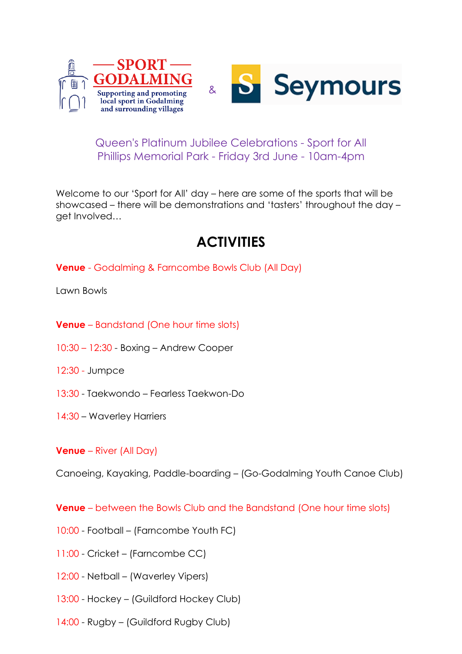



## Queen's Platinum Jubilee Celebrations - Sport for All Phillips Memorial Park - Friday 3rd June - 10am-4pm

Welcome to our 'Sport for All' day – here are some of the sports that will be showcased – there will be demonstrations and 'tasters' throughout the day – get Involved…

# **ACTIVITIES**

**Venue** - Godalming & Farncombe Bowls Club (All Day)

Lawn Bowls

- **Venue** Bandstand (One hour time slots)
- 10:30 12:30 Boxing Andrew Cooper
- 12:30 Jumpce
- 13:30 Taekwondo Fearless Taekwon-Do
- 14:30 Waverley Harriers

#### **Venue** – River (All Day)

Canoeing, Kayaking, Paddle-boarding – (Go-Godalming Youth Canoe Club)

**Venue** – between the Bowls Club and the Bandstand (One hour time slots)

- 10:00 Football (Farncombe Youth FC)
- 11:00 Cricket (Farncombe CC)
- 12:00 Netball (Waverley Vipers)
- 13:00 Hockey (Guildford Hockey Club)
- 14:00 Rugby (Guildford Rugby Club)